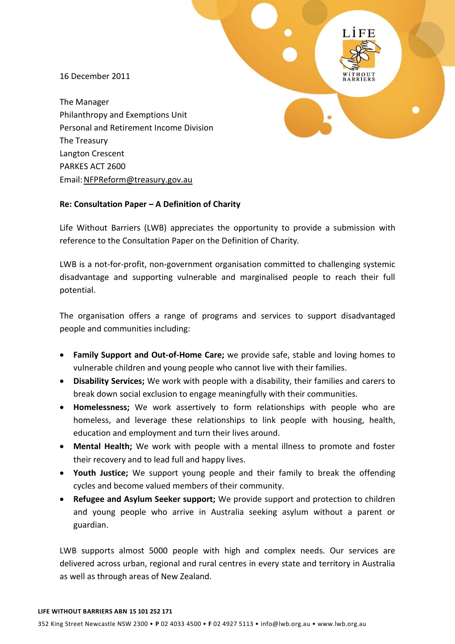16 December 2011

The Manager Philanthropy and Exemptions Unit Personal and Retirement Income Division The Treasury Langton Crescent PARKES ACT 2600 Email[:NFPReform@treasury.gov.au](mailto:NFPReform@treasury.gov.au)

#### **Re: Consultation Paper – A Definition of Charity**

Life Without Barriers (LWB) appreciates the opportunity to provide a submission with reference to the Consultation Paper on the Definition of Charity*.* 

LWB is a not-for-profit, non-government organisation committed to challenging systemic disadvantage and supporting vulnerable and marginalised people to reach their full potential.

The organisation offers a range of programs and services to support disadvantaged people and communities including:

- **Family Support and Out-of-Home Care;** we provide safe, stable and loving homes to vulnerable children and young people who cannot live with their families.
- **Disability Services;** We work with people with a disability, their families and carers to break down social exclusion to engage meaningfully with their communities.
- **Homelessness;** We work assertively to form relationships with people who are homeless, and leverage these relationships to link people with housing, health, education and employment and turn their lives around.
- **Mental Health;** We work with people with a mental illness to promote and foster their recovery and to lead full and happy lives.
- **Youth Justice;** We support young people and their family to break the offending cycles and become valued members of their community.
- **Refugee and Asylum Seeker support;** We provide support and protection to children and young people who arrive in Australia seeking asylum without a parent or guardian.

LWB supports almost 5000 people with high and complex needs. Our services are delivered across urban, regional and rural centres in every state and territory in Australia as well as through areas of New Zealand.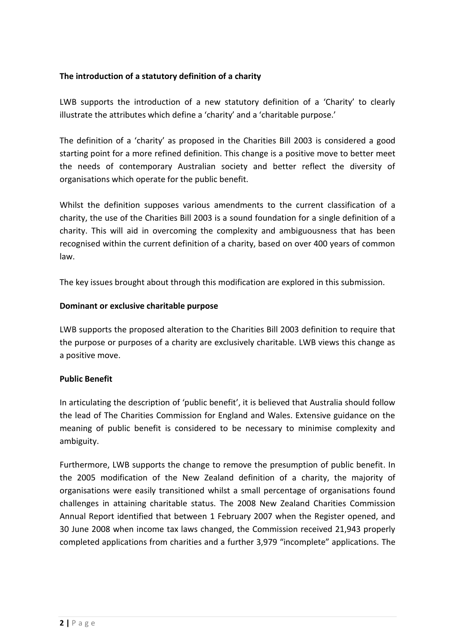# **The introduction of a statutory definition of a charity**

LWB supports the introduction of a new statutory definition of a 'Charity' to clearly illustrate the attributes which define a 'charity' and a 'charitable purpose.'

The definition of a 'charity' as proposed in the Charities Bill 2003 is considered a good starting point for a more refined definition. This change is a positive move to better meet the needs of contemporary Australian society and better reflect the diversity of organisations which operate for the public benefit.

Whilst the definition supposes various amendments to the current classification of a charity, the use of the Charities Bill 2003 is a sound foundation for a single definition of a charity. This will aid in overcoming the complexity and ambiguousness that has been recognised within the current definition of a charity, based on over 400 years of common law.

The key issues brought about through this modification are explored in this submission.

# **Dominant or exclusive charitable purpose**

LWB supports the proposed alteration to the Charities Bill 2003 definition to require that the purpose or purposes of a charity are exclusively charitable. LWB views this change as a positive move.

#### **Public Benefit**

In articulating the description of 'public benefit', it is believed that Australia should follow the lead of The Charities Commission for England and Wales. Extensive guidance on the meaning of public benefit is considered to be necessary to minimise complexity and ambiguity.

Furthermore, LWB supports the change to remove the presumption of public benefit. In the 2005 modification of the New Zealand definition of a charity, the majority of organisations were easily transitioned whilst a small percentage of organisations found challenges in attaining charitable status. The 2008 New Zealand Charities Commission Annual Report identified that between 1 February 2007 when the Register opened, and 30 June 2008 when income tax laws changed, the Commission received 21,943 properly completed applications from charities and a further 3,979 "incomplete" applications. The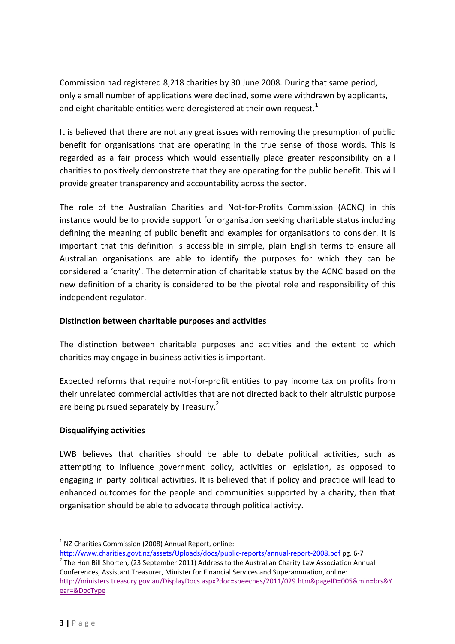Commission had registered 8,218 charities by 30 June 2008. During that same period, only a small number of applications were declined, some were withdrawn by applicants, and eight charitable entities were deregistered at their own request.<sup>1</sup>

It is believed that there are not any great issues with removing the presumption of public benefit for organisations that are operating in the true sense of those words. This is regarded as a fair process which would essentially place greater responsibility on all charities to positively demonstrate that they are operating for the public benefit. This will provide greater transparency and accountability across the sector.

The role of the Australian Charities and Not-for-Profits Commission (ACNC) in this instance would be to provide support for organisation seeking charitable status including defining the meaning of public benefit and examples for organisations to consider. It is important that this definition is accessible in simple, plain English terms to ensure all Australian organisations are able to identify the purposes for which they can be considered a 'charity'. The determination of charitable status by the ACNC based on the new definition of a charity is considered to be the pivotal role and responsibility of this independent regulator.

# **Distinction between charitable purposes and activities**

The distinction between charitable purposes and activities and the extent to which charities may engage in business activities is important.

Expected reforms that require not-for-profit entities to pay income tax on profits from their unrelated commercial activities that are not directed back to their altruistic purpose are being pursued separately by Treasury.<sup>2</sup>

# **Disqualifying activities**

LWB believes that charities should be able to debate political activities, such as attempting to influence government policy, activities or legislation, as opposed to engaging in party political activities. It is believed that if policy and practice will lead to enhanced outcomes for the people and communities supported by a charity, then that organisation should be able to advocate through political activity.

<sup>&</sup>lt;u>.</u>  $1$  NZ Charities Commission (2008) Annual Report, online:

<http://www.charities.govt.nz/assets/Uploads/docs/public-reports/annual-report-2008.pdf> pg. 6-7  $2$  The Hon Bill Shorten, (23 September 2011) Address to the Australian Charity Law Association Annual Conferences, Assistant Treasurer, Minister for Financial Services and Superannuation, online: [http://ministers.treasury.gov.au/DisplayDocs.aspx?doc=speeches/2011/029.htm&pageID=005&min=brs&Y](http://ministers.treasury.gov.au/DisplayDocs.aspx?doc=speeches/2011/029.htm&pageID=005&min=brs&Year=&DocType) [ear=&DocType](http://ministers.treasury.gov.au/DisplayDocs.aspx?doc=speeches/2011/029.htm&pageID=005&min=brs&Year=&DocType)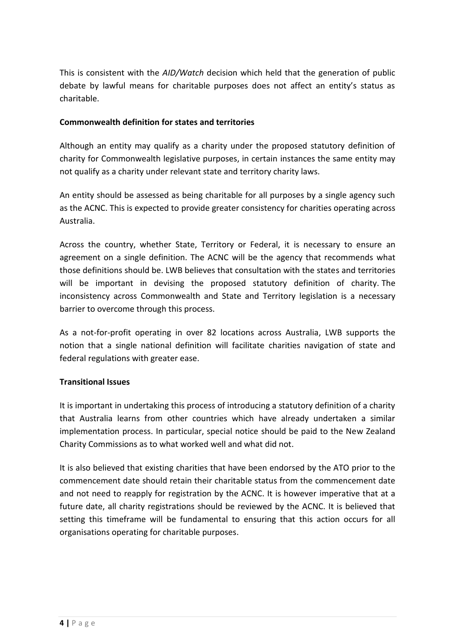This is consistent with the *AID/Watch* decision which held that the generation of public debate by lawful means for charitable purposes does not affect an entity's status as charitable.

### **Commonwealth definition for states and territories**

Although an entity may qualify as a charity under the proposed statutory definition of charity for Commonwealth legislative purposes, in certain instances the same entity may not qualify as a charity under relevant state and territory charity laws.

An entity should be assessed as being charitable for all purposes by a single agency such as the ACNC. This is expected to provide greater consistency for charities operating across Australia.

Across the country, whether State, Territory or Federal, it is necessary to ensure an agreement on a single definition. The ACNC will be the agency that recommends what those definitions should be. LWB believes that consultation with the states and territories will be important in devising the proposed statutory definition of charity. The inconsistency across Commonwealth and State and Territory legislation is a necessary barrier to overcome through this process.

As a not-for-profit operating in over 82 locations across Australia, LWB supports the notion that a single national definition will facilitate charities navigation of state and federal regulations with greater ease.

# **Transitional Issues**

It is important in undertaking this process of introducing a statutory definition of a charity that Australia learns from other countries which have already undertaken a similar implementation process. In particular, special notice should be paid to the New Zealand Charity Commissions as to what worked well and what did not.

It is also believed that existing charities that have been endorsed by the ATO prior to the commencement date should retain their charitable status from the commencement date and not need to reapply for registration by the ACNC. It is however imperative that at a future date, all charity registrations should be reviewed by the ACNC. It is believed that setting this timeframe will be fundamental to ensuring that this action occurs for all organisations operating for charitable purposes.